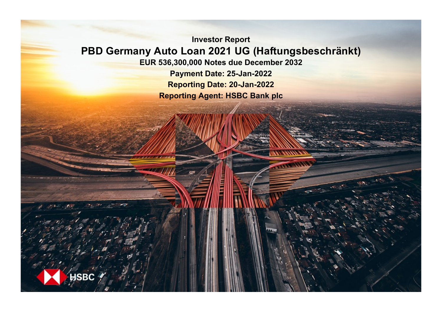**Investor Report PBD Germany Auto Loan 2021 UG (Haftungsbeschränkt) EUR 536,300,000 Notes due December 2032**

**Payment Date: 25-Jan-2022 Reporting Date: 20-Jan-2022 Reporting Agent: HSBC Bank plc**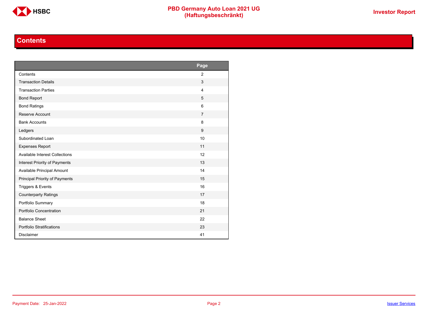

# **Contents**

<span id="page-1-0"></span>

|                                       | Page           |
|---------------------------------------|----------------|
| Contents                              | $\overline{2}$ |
| <b>Transaction Details</b>            | 3              |
| <b>Transaction Parties</b>            | $\overline{4}$ |
| <b>Bond Report</b>                    | 5              |
| <b>Bond Ratings</b>                   | 6              |
| Reserve Account                       | $\overline{7}$ |
| <b>Bank Accounts</b>                  | 8              |
| Ledgers                               | 9              |
| Subordinated Loan                     | 10             |
| <b>Expenses Report</b>                | 11             |
| <b>Available Interest Collections</b> | 12             |
| Interest Priority of Payments         | 13             |
| Available Principal Amount            | 14             |
| Principal Priority of Payments        | 15             |
| Triggers & Events                     | 16             |
| <b>Counterparty Ratings</b>           | 17             |
| Portfolio Summary                     | 18             |
| Portfolio Concentration               | 21             |
| <b>Balance Sheet</b>                  | 22             |
| Portfolio Stratifications             | 23             |
| <b>Disclaimer</b>                     | 41             |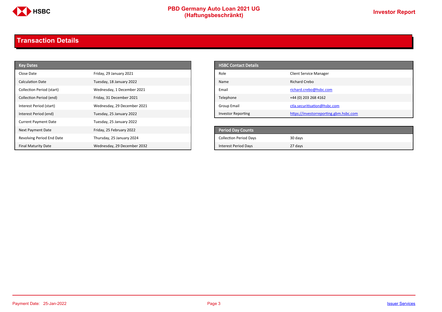

# **PBD Germany Auto Loan 2021 UG**<br>
(Haftungsbeschränkt)<br>
This area of the CHSD CHA (Haftungsbeschränkt)

# <span id="page-2-0"></span>**Transaction Details**

| <b>Key Dates</b>            |                             | <b>HSBC Contact Details</b>   |                                        |
|-----------------------------|-----------------------------|-------------------------------|----------------------------------------|
| Close Date                  | Friday, 29 January 2021     | Role                          | <b>Client Service Manager</b>          |
| Calculation Date            | Tuesday, 18 January 2022    | Name                          | <b>Richard Crebo</b>                   |
| Collection Period (start)   | Wednesday, 1 December 2021  | Email                         | richard.crebo@hsbc.com                 |
| Collection Period (end)     | Friday, 31 December 2021    | Telephone                     | +44 (0) 203 268 4162                   |
| Interest Period (start)     | Wednesday, 29 December 2021 | Group Email                   | ctla.securitisation@hsbc.com           |
| Interest Period (end)       | Tuesday, 25 January 2022    | <b>Investor Reporting</b>     | https://investorreporting.gbm.hsbc.com |
| <b>Current Payment Date</b> | Tuesday, 25 January 2022    |                               |                                        |
| Next Payment Date           | Friday, 25 February 2022    | <b>Period Day Counts</b>      |                                        |
| Revolving Period End Date   | Thursday, 25 January 2024   | <b>Collection Period Days</b> | 30 days                                |
| <b>Final Maturity Date</b>  | Wednesday, 29 December 2032 | <b>Interest Period Days</b>   | 27 days                                |

| <b>HSBC Contact Details</b> |                                        |
|-----------------------------|----------------------------------------|
| Role                        | <b>Client Service Manager</b>          |
| Name                        | Richard Crebo                          |
| Email                       | richard.crebo@hsbc.com                 |
| Telephone                   | +44 (0) 203 268 4162                   |
| Group Email                 | ctla.securitisation@hsbc.com           |
| <b>Investor Reporting</b>   | https://investorreporting.gbm.hsbc.com |

| <b>Period Day Counts</b>      |         |
|-------------------------------|---------|
| <b>Collection Period Days</b> | 30 days |
| <b>Interest Period Days</b>   | 27 days |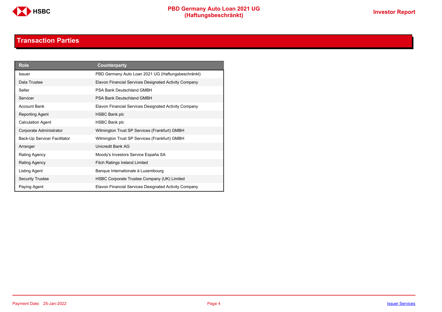

# **Transaction Parties**

<span id="page-3-0"></span>

| <b>Role</b>                  | <b>Counterparty</b>                                   |
|------------------------------|-------------------------------------------------------|
| <b>Issuer</b>                | PBD Germany Auto Loan 2021 UG (Haftungsbeschränkt)    |
| Data Trustee                 | Elavon Financial Services Designated Activity Company |
| Seller                       | PSA Bank Deutschland GMBH                             |
| Servicer                     | PSA Bank Deutschland GMBH                             |
| <b>Account Bank</b>          | Elavon Financial Services Designated Activity Company |
| Reporting Agent              | <b>HSBC Bank plc</b>                                  |
| <b>Calculation Agent</b>     | <b>HSBC Bank plc</b>                                  |
| Corporate Administrator      | Wilmington Trust SP Services (Frankfurt) GMBH         |
| Back-Up Servicer Facilitator | Wilmington Trust SP Services (Frankfurt) GMBH         |
| Arranger                     | Unicredit Bank AG                                     |
| Rating Agency                | Moody's Investors Service España SA                   |
| Rating Agency                | <b>Fitch Ratings Ireland Limited</b>                  |
| Listing Agent                | Banque Internationale à Luxembourg                    |
| <b>Security Trustee</b>      | HSBC Corporate Trustee Company (UK) Limited           |
| Paying Agent                 | Elavon Financial Services Designated Activity Company |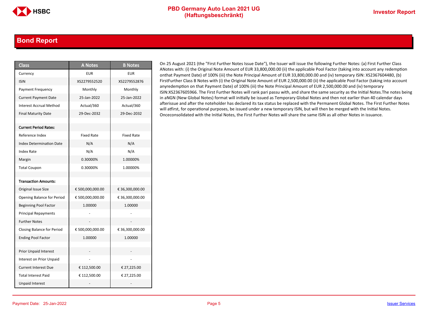### <span id="page-4-0"></span>**Bond Report**

| <b>Class</b>                      | <b>A Notes</b>    | <b>B</b> Notes    |
|-----------------------------------|-------------------|-------------------|
| Currency                          | <b>EUR</b>        | <b>EUR</b>        |
| <b>ISIN</b>                       | XS2279552520      | XS2279552876      |
| Payment Frequency                 | Monthly           | Monthly           |
| <b>Current Payment Date</b>       | 25-Jan-2022       | 25-Jan-2022       |
| <b>Interest Accrual Method</b>    | Actual/360        | Actual/360        |
| <b>Final Maturity Date</b>        | 29-Dec-2032       | 29-Dec-2032       |
|                                   |                   |                   |
| <b>Current Period Rates:</b>      |                   |                   |
| Reference Index                   | <b>Fixed Rate</b> | <b>Fixed Rate</b> |
| <b>Index Determination Date</b>   | N/A               | N/A               |
| Index Rate                        | N/A               | N/A               |
| Margin                            | 0.30000%          | 1.00000%          |
| <b>Total Coupon</b>               | 0.30000%          | 1.00000%          |
|                                   |                   |                   |
| <b>Transaction Amounts:</b>       |                   |                   |
| Original Issue Size               | € 500,000,000.00  | € 36,300,000.00   |
| Opening Balance for Period        | € 500,000,000.00  | € 36,300,000.00   |
| <b>Beginning Pool Factor</b>      | 1.00000           | 1.00000           |
| <b>Principal Repayments</b>       |                   |                   |
| <b>Further Notes</b>              |                   |                   |
| <b>Closing Balance for Period</b> | € 500,000,000.00  | € 36,300,000.00   |
| <b>Ending Pool Factor</b>         | 1.00000           | 1.00000           |
|                                   |                   |                   |
| Prior Unpaid Interest             |                   |                   |
| Interest on Prior Unpaid          |                   |                   |
| <b>Current Interest Due</b>       | € 112,500.00      | € 27,225.00       |
| <b>Total Interest Paid</b>        | € 112,500.00      | € 27,225.00       |
| <b>Unpaid Interest</b>            |                   |                   |

On 25 August 2021 (the "First Further Notes Issue Date"), the Issuer will issue the following Further Notes: (a) First Further Class ANotes with: (i) the Original Note Amount of EUR 33,800,000.00 (ii) the applicable Pool Factor (taking into account any redemption onthat Payment Date) of 100% (iii) the Note Principal Amount of EUR 33,800,000.00 and (iv) temporary ISIN: XS2367604480, (b) FirstFurther Class B Notes with (i) the Original Note Amount of EUR 2,500,000.00 (ii) the applicable Pool Factor (taking into account anyredemption on that Payment Date) of 100% (iii) the Note Principal Amount of EUR 2,500,000.00 and (iv) temporary ISIN:XS2367605966. The First Further Notes will rank pari passu with, and share the same security as the Initial Notes.The notes being in aNGN (New Global Notes) format will initially be issued as Temporary Global Notes and then not earlier than 40 calendar days afterissue and after the noteholder has declared its tax status be replaced with the Permanent Global Notes. The First Further Notes will atfirst, for operational purposes, be issued under a new temporary ISIN, but will then be merged with the Initial Notes. Onceconsolidated with the Initial Notes, the First Further Notes will share the same ISIN as all other Notes in issuance.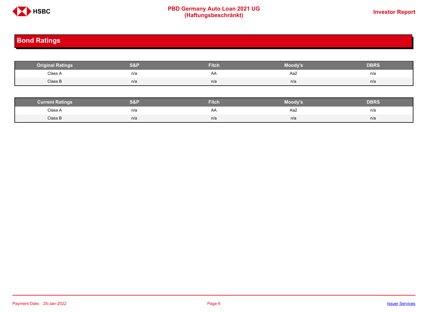

# **PBD Germany Auto Loan 2021 UG**<br>
(Haftungsbeschränkt)<br>
This area of the CHSD CHA (Haftungsbeschränkt)

# <span id="page-5-0"></span>**Bond Ratings**

| <b>Original Ratings</b> | S&P | <b>Fitch</b> | Moody's | <b>DBRS</b> |
|-------------------------|-----|--------------|---------|-------------|
| Class A                 | n/a | AA           | Aa2     | n/a         |
| Class B                 | n/a | n/a          | n/a     | n/a         |

| <b><i>Surrent Ratings</i></b> | 0.91<br>>I≏∃i | <b>Fitch</b> | Moody's | DERS. |
|-------------------------------|---------------|--------------|---------|-------|
| Class A<br>.                  | n/a           | ₩            | Aa2     | n/a   |
| Class B                       | n/a           | n/a          | n/a     | n/a   |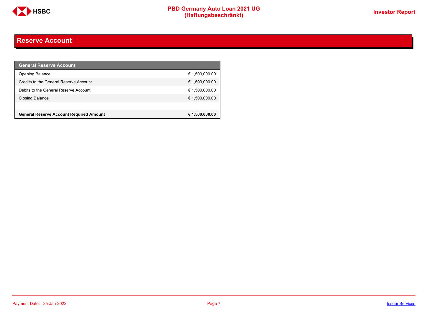

# <span id="page-6-0"></span>**Reserve Account**

| <b>General Reserve Account</b>                 |                |
|------------------------------------------------|----------------|
| <b>Opening Balance</b>                         | € 1,500,000.00 |
| Credits to the General Reserve Account         | € 1,500,000.00 |
| Debits to the General Reserve Account          | € 1,500,000.00 |
| Closing Balance                                | € 1,500,000.00 |
|                                                |                |
| <b>General Reserve Account Required Amount</b> | € 1,500,000.00 |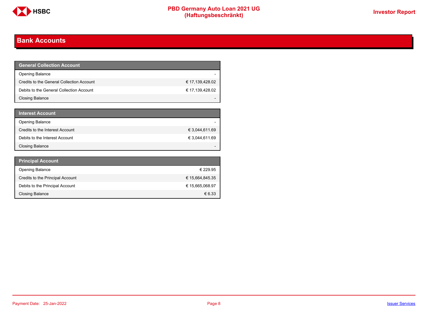

# <span id="page-7-0"></span>**Bank Accounts**

| <b>General Collection Account</b>         |                 |
|-------------------------------------------|-----------------|
| <b>Opening Balance</b>                    |                 |
| Credits to the General Collection Account | € 17,139,428.02 |
| Debits to the General Collection Account  | € 17,139,428.02 |
| Closing Balance                           |                 |

| <b>Interest Account</b>         |                |
|---------------------------------|----------------|
| <b>Opening Balance</b>          |                |
| Credits to the Interest Account | € 3,044,611.69 |
| Debits to the Interest Account  | € 3,044,611.69 |
| <b>Closing Balance</b>          |                |

| <b>Principal Account</b>         |                 |
|----------------------------------|-----------------|
| <b>Opening Balance</b>           | € 229.95        |
| Credits to the Principal Account | € 15,664,845.35 |
| Debits to the Principal Account  | € 15,665,068.97 |
| Closing Balance                  | $\epsilon$ 6.33 |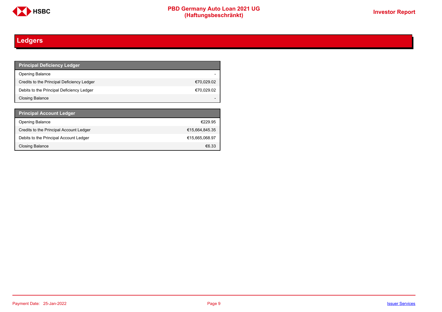

# <span id="page-8-0"></span>**Ledgers**

| <b>Principal Deficiency Ledger</b>         |            |
|--------------------------------------------|------------|
| <b>Opening Balance</b>                     |            |
| Credits to the Principal Deficiency Ledger | €70,029.02 |
| Debits to the Principal Deficiency Ledger  | €70,029.02 |
| Closing Balance                            |            |

| <b>Principal Account Ledger</b>         |                |
|-----------------------------------------|----------------|
| <b>Opening Balance</b>                  | €229.95        |
| Credits to the Principal Account Ledger | €15,664,845.35 |
| Debits to the Principal Account Ledger  | €15.665.068.97 |
| Closing Balance                         | €6.33          |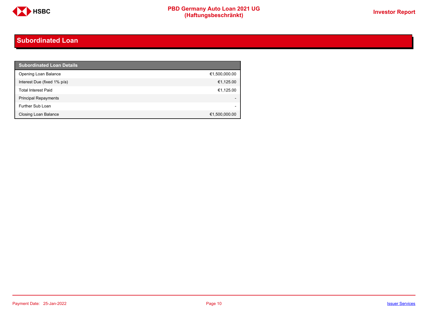

# <span id="page-9-0"></span>**Subordinated Loan**

| <b>Subordinated Loan Details</b> |               |
|----------------------------------|---------------|
| Opening Loan Balance             | €1,500,000.00 |
| Interest Due (fixed 1% p/a)      | €1,125.00     |
| <b>Total Interest Paid</b>       | €1,125.00     |
| <b>Principal Repayments</b>      |               |
| Further Sub Loan                 |               |
| <b>Closing Loan Balance</b>      | €1,500,000.00 |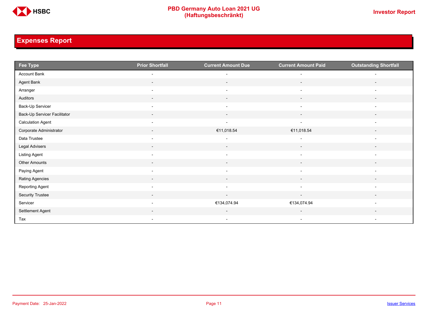

# <span id="page-10-0"></span>**Expenses Report**

| Fee Type                     | <b>Prior Shortfall</b>   | <b>Current Amount Due</b> | <b>Current Amount Paid</b> | <b>Outstanding Shortfall</b> |
|------------------------------|--------------------------|---------------------------|----------------------------|------------------------------|
| Account Bank                 | $\overline{\phantom{a}}$ | $\overline{a}$            | $\overline{a}$             |                              |
| Agent Bank                   | $\overline{\phantom{a}}$ | $\overline{\phantom{a}}$  | $\sim$                     | $\overline{\phantom{a}}$     |
| Arranger                     | $\overline{\phantom{a}}$ | $\overline{\phantom{a}}$  | $\overline{\phantom{a}}$   |                              |
| Auditors                     | $\overline{\phantom{a}}$ | $\overline{\phantom{a}}$  | $\overline{\phantom{a}}$   | $\overline{\phantom{a}}$     |
| Back-Up Servicer             | $\overline{\phantom{a}}$ | $\overline{\phantom{a}}$  | $\overline{\phantom{a}}$   | $\overline{\phantom{a}}$     |
| Back-Up Servicer Facilitator | $\overline{\phantom{0}}$ | $\overline{\phantom{a}}$  | $\overline{\phantom{a}}$   |                              |
| <b>Calculation Agent</b>     | $\overline{\phantom{a}}$ | $\overline{\phantom{a}}$  | $\overline{\phantom{a}}$   | $\overline{\phantom{a}}$     |
| Corporate Administrator      | $\overline{\phantom{a}}$ | €11,018.54                | €11,018.54                 | $\overline{\phantom{a}}$     |
| Data Trustee                 | $\overline{\phantom{a}}$ | $\overline{\phantom{a}}$  | $\overline{\phantom{a}}$   | $\overline{\phantom{a}}$     |
| Legal Advisers               | $\sim$                   | $\sim$                    | $\sim$                     | $\overline{\phantom{a}}$     |
| <b>Listing Agent</b>         | $\overline{\phantom{a}}$ | $\overline{\phantom{a}}$  | $\overline{\phantom{a}}$   |                              |
| Other Amounts                | $\overline{\phantom{a}}$ | $\overline{\phantom{0}}$  | $\overline{a}$             |                              |
| Paying Agent                 | $\overline{\phantom{a}}$ | $\overline{\phantom{a}}$  | $\overline{\phantom{a}}$   | $\overline{\phantom{a}}$     |
| <b>Rating Agencies</b>       | $\overline{\phantom{a}}$ | $\overline{\phantom{a}}$  | $\overline{\phantom{a}}$   | $\overline{\phantom{a}}$     |
| Reporting Agent              | $\overline{\phantom{a}}$ | $\overline{\phantom{a}}$  | $\overline{\phantom{a}}$   | $\overline{\phantom{a}}$     |
| <b>Security Trustee</b>      | $\sim$                   | $\sim$                    | $\sim$                     | $\sim$                       |
| Servicer                     | $\overline{\phantom{a}}$ | €134,074.94               | €134,074.94                |                              |
| Settlement Agent             |                          |                           |                            |                              |
| Tax                          | $\overline{\phantom{a}}$ | $\overline{\phantom{a}}$  | $\overline{\phantom{a}}$   | $\overline{\phantom{a}}$     |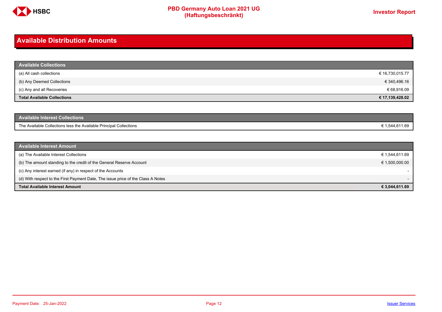

# <span id="page-11-0"></span>**Available Distribution Amounts**

| <b>Available Collections</b>       |                 |
|------------------------------------|-----------------|
| (a) All cash collections           | € 16,730,015.77 |
| (b) Any Deemed Collections         | € 340,496.16    |
| (c) Any and all Recoveries         | € 68,916.09     |
| <b>Total Available Collections</b> | € 17,139,428.02 |

| Available Interest Collections <b>\</b>                            |              |
|--------------------------------------------------------------------|--------------|
| The Available Collections less the Available Principal Collections | 1,544,611.69 |

| <b>Available Interest Amount</b>                                                 |                |
|----------------------------------------------------------------------------------|----------------|
| (a) The Available Interest Collections                                           | € 1,544,611.69 |
| (b) The amount standing to the credit of the General Reserve Account             | € 1,500,000.00 |
| (c) Any interest earned (if any) in respect of the Accounts                      |                |
| (d) With respect to the First Payment Date, The issue price of the Class A Notes |                |
| <b>Total Available Interest Amount</b>                                           | € 3,044,611.69 |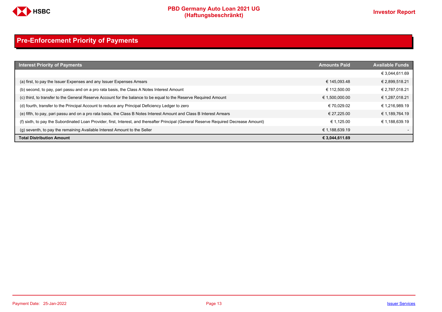

# <span id="page-12-0"></span>**Pre-Enforcement Priority of Payments**

| <b>Interest Priority of Payments</b>                                                                                                   | <b>Amounts Paid</b> | <b>Available Funds</b> |
|----------------------------------------------------------------------------------------------------------------------------------------|---------------------|------------------------|
|                                                                                                                                        |                     | € 3.044.611.69         |
| (a) first, to pay the Issuer Expenses and any Issuer Expenses Arrears                                                                  | € 145.093.48        | € 2,899,518.21         |
| (b) second, to pay, pari passu and on a pro rata basis, the Class A Notes Interest Amount                                              | € 112.500.00        | € 2,787,018.21         |
| (c) third, to transfer to the General Reserve Account for the balance to be equal to the Reserve Required Amount                       | € 1,500,000.00      | € 1,287,018.21         |
| (d) fourth, transfer to the Principal Account to reduce any Principal Deficiency Ledger to zero                                        | € 70.029.02         | € 1,216,989.19         |
| (e) fifth, to pay, pari passu and on a pro rata basis, the Class B Notes Interest Amount and Class B Interest Arrears                  | € 27.225.00         | € 1,189,764.19         |
| (f) sixth, to pay the Subordinated Loan Provider, first, Interest, and thereafter Principal (General Reserve Required Decrease Amount) | € 1.125.00          | € 1.188.639.19         |
| (g) seventh, to pay the remaining Available Interest Amount to the Seller                                                              | € 1,188,639.19      |                        |
| <b>Total Distribution Amount</b>                                                                                                       | € 3,044,611.69      |                        |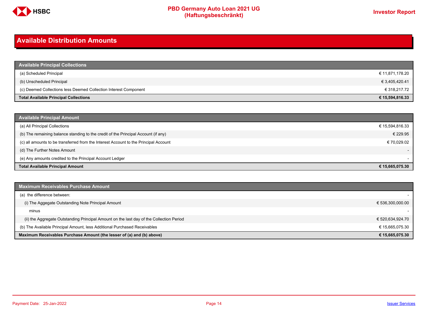

# <span id="page-13-0"></span>**Available Distribution Amounts**

| <b>Available Principal Collections</b>                           |                 |
|------------------------------------------------------------------|-----------------|
| (a) Scheduled Principal                                          | € 11,871,178.20 |
| (b) Unscheduled Principal                                        | € 3,405,420.41  |
| (c) Deemed Collections less Deemed Collection Interest Component | € 318,217.72    |
| <b>Total Available Principal Collections</b>                     | € 15,594,816.33 |

| <b>Available Principal Amount</b>                                                    |                 |
|--------------------------------------------------------------------------------------|-----------------|
| (a) All Principal Collections                                                        | € 15,594,816.33 |
| (b) The remaining balance standing to the credit of the Principal Account (if any)   | € 229.95        |
| (c) all amounts to be transferred from the Interest Account to the Principal Account | € 70,029.02     |
| (d) The Further Notes Amount                                                         | $-$             |
| (e) Any amounts credited to the Principal Account Ledger                             |                 |
| <b>Total Available Principal Amount</b>                                              | € 15,665,075.30 |

| <b>Maximum Receivables Purchase Amount</b>                                               |                  |
|------------------------------------------------------------------------------------------|------------------|
| (a) the difference between:                                                              |                  |
| (i) The Aggegate Outstanding Note Principal Amount                                       | € 536,300,000.00 |
| minus                                                                                    |                  |
| (ii) the Aggregate Outstanding Principal Amount on the last day of the Collection Period | € 520,634,924.70 |
| (b) The Available Principal Amount, less Additional Purchased Receivables                | € 15,665,075.30  |
| Maximum Receivables Purchase Amount (the lesser of (a) and (b) above)                    | € 15,665,075.30  |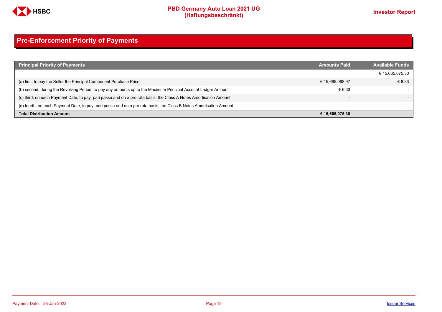

# <span id="page-14-0"></span>**Pre-Enforcement Priority of Payments**

| <b>Principal Priority of Payments</b>                                                                               | <b>Amounts Paid</b>      | <b>Available Funds</b> |
|---------------------------------------------------------------------------------------------------------------------|--------------------------|------------------------|
|                                                                                                                     |                          | € 15,665,075.30        |
| (a) first, to pay the Seller the Principal Component Purchase Price                                                 | € 15,665,068.97          | € 6.33                 |
| (b) second, during the Revolving Period, to pay any amounts up to the Maximum Principal Account Ledger Amount       | € 6.33                   |                        |
| (c) third, on each Payment Date, to pay, pari passu and on a pro rata basis, the Class A Notes Amortisation Amount  | $\overline{\phantom{0}}$ |                        |
| (d) fourth, on each Payment Date, to pay, pari passu and on a pro rata basis, the Class B Notes Amortisation Amount | $\overline{\phantom{a}}$ |                        |
| <b>Total Distribution Amount</b>                                                                                    | € 15,665,075.30          |                        |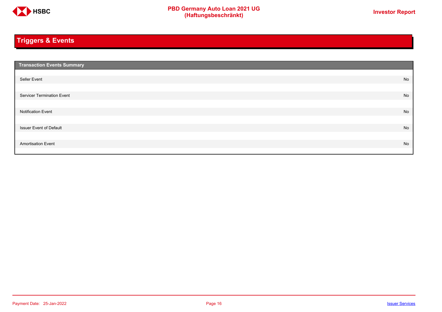

# <span id="page-15-0"></span>**Triggers & Events**

| <b>Transaction Events Summary</b> |    |
|-----------------------------------|----|
|                                   |    |
| Seller Event                      | No |
|                                   |    |
| Servicer Termination Event        | No |
|                                   |    |
| <b>Notification Event</b>         | No |
|                                   |    |
| <b>Issuer Event of Default</b>    | No |
|                                   |    |
| <b>Amortisation Event</b>         | No |
|                                   |    |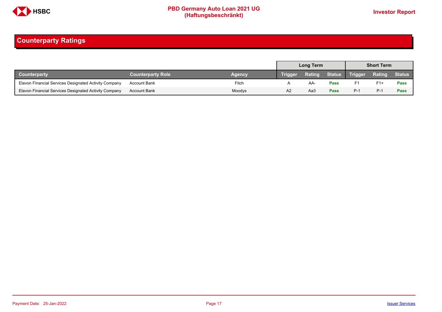

# <span id="page-16-0"></span>**Counterparty Ratings**

|                                                       |                          |        | Long Term      |        |             | <b>Short Term</b> |               |               |
|-------------------------------------------------------|--------------------------|--------|----------------|--------|-------------|-------------------|---------------|---------------|
| <b>Counterparty</b>                                   | <b>Counterparty Role</b> | Agency | <b>Trigger</b> | Rating |             | Status Trigger    | <b>Rating</b> | <b>Status</b> |
| Elavon Financial Services Designated Activity Company | <b>Account Bank</b>      | Fitch  |                | AA-    | <b>Pass</b> | F1                | $F1+$         | Pass          |
| Elavon Financial Services Designated Activity Company | <b>Account Bank</b>      | Moodys | A2             | АаЗ    | <b>Pass</b> | $P-1$             | P-1           | Pass          |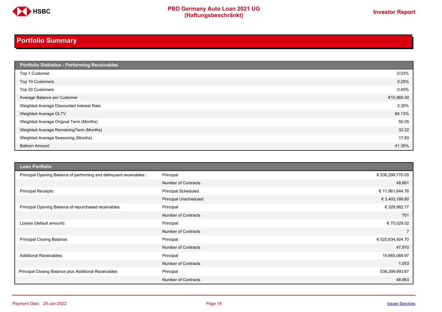

# **PBD Germany Auto Loan 2021 UG**<br>
(Haftungsbeschränkt)<br>
This area of the CHSD CHA (Haftungsbeschränkt)

# <span id="page-17-0"></span>**Portfolio Summary**

| Portfolio Statistics - Performing Receivables |            |
|-----------------------------------------------|------------|
| Top 1 Customer                                | 0.03%      |
| Top 10 Customers                              | 0.25%      |
| Top 20 Customers                              | 0.45%      |
| Average Balance per Customer                  | €10,969.30 |
| Weighted Average Discounted Interest Rate     | 3.35%      |
| Weighted Average OLTV                         | 84.13%     |
| Weighted Average Original Term (Months)       | 50.05      |
| Weighted Average RemainingTerm (Months)       | 32.22      |
| Weighted Average Seasoning (Months)           | 17.83      |
| <b>Balloon Amount</b>                         | 41.35%     |

| <b>Loan Portfolio</b>                                                |                            |                  |
|----------------------------------------------------------------------|----------------------------|------------------|
| Principal Opening Balance of performing and delinquent receivables : | Principal                  | € 536,299,770.05 |
|                                                                      | Number of Contracts        | 48,661           |
| <b>Principal Receipts:</b>                                           | <b>Principal Scheduled</b> | € 11,861,644.76  |
|                                                                      | Principal Unscheduled      | € 3,403,188.80   |
| Principal Opening Balance of repurchased receivables:                | Principal                  | € 329,982.77     |
|                                                                      | Number of Contracts        | 751              |
| Losses (default amount):                                             | Principal                  | € 70,029.02      |
|                                                                      | Number of Contracts        | $\overline{7}$   |
| Principal Closing Balance:                                           | Principal                  | € 520,634,924.70 |
|                                                                      | <b>Number of Contracts</b> | 47,910           |
| <b>Additional Receivables:</b>                                       | Principal                  | 15,665,068.97    |
|                                                                      | <b>Number of Contracts</b> | 1,053            |
| Principal Closing Balance plus Additional Receivables                | Principal                  | 536,299,993.67   |
|                                                                      | <b>Number of Contracts</b> | 48,963           |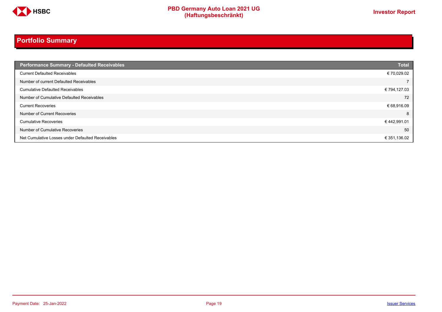

# **Portfolio Summary**

| <b>Performance Summary - Defaulted Receivables</b> | <b>Total</b> |
|----------------------------------------------------|--------------|
| <b>Current Defaulted Receivables</b>               | € 70,029.02  |
| Number of current Defaulted Receivables            |              |
| <b>Cumulative Defaulted Receivables</b>            | € 794,127.03 |
| Number of Cumulative Defaulted Receivables         | 72           |
| <b>Current Recoveries</b>                          | € 68,916.09  |
| Number of Current Recoveries                       | 8            |
| <b>Cumulative Recoveries</b>                       | €442,991.01  |
| Number of Cumulative Recoveries                    | 50           |
| Net Cumulative Losses under Defaulted Receivables  | € 351,136.02 |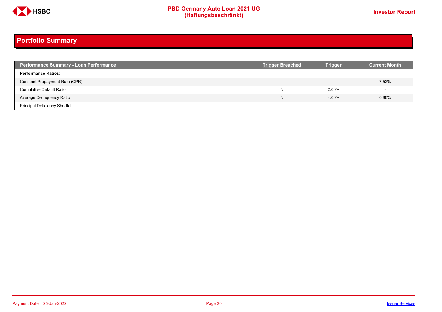

# **Portfolio Summary**

| <b>Performance Summary - Loan Performance</b> | <b>Trigger Breached</b> | <b>Trigger</b>           | <b>Current Month</b> |
|-----------------------------------------------|-------------------------|--------------------------|----------------------|
| <b>Performance Ratios:</b>                    |                         |                          |                      |
| Constant Prepayment Rate (CPR)                |                         | $\overline{\phantom{0}}$ | 7.52%                |
| <b>Cumulative Default Ratio</b>               | N                       | 2.00%                    |                      |
| Average Delinquency Ratio                     | N                       | 4.00%                    | 0.86%                |
| <b>Principal Deficiency Shortfall</b>         |                         | $\overline{\phantom{0}}$ |                      |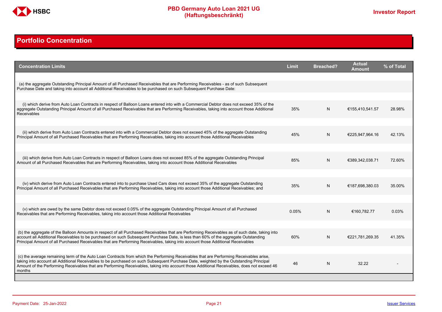

# <span id="page-20-0"></span>**Portfolio Concentration**

| <b>Concentration Limits</b>                                                                                                                                                                                                                                                                                                                                                                                                              | <b>Limit</b> | <b>Breached?</b> | <b>Actual</b><br>Amount | % of Total |
|------------------------------------------------------------------------------------------------------------------------------------------------------------------------------------------------------------------------------------------------------------------------------------------------------------------------------------------------------------------------------------------------------------------------------------------|--------------|------------------|-------------------------|------------|
| (a) the aggregate Outstanding Principal Amount of all Purchased Receivables that are Performing Receivables - as of such Subsequent<br>Purchase Date and taking into account all Additional Receivables to be purchased on such Subsequent Purchase Date:                                                                                                                                                                                |              |                  |                         |            |
| (i) which derive from Auto Loan Contracts in respect of Balloon Loans entered into with a Commercial Debtor does not exceed 35% of the<br>aggregate Outstanding Principal Amount of all Purchased Receivables that are Performing Receivables, taking into account those Additional                                                                                                                                                      | 35%          | N                | €155,410,541.57         | 28.98%     |
| <b>Receivables</b>                                                                                                                                                                                                                                                                                                                                                                                                                       |              |                  |                         |            |
| (ii) which derive from Auto Loan Contracts entered into with a Commercial Debtor does not exceed 45% of the aggregate Outstanding<br>Principal Amount of all Purchased Receivables that are Performing Receivables, taking into account those Additional Receivables                                                                                                                                                                     | 45%          | N                | €225,947,964.16         | 42.13%     |
| (iii) which derive from Auto Loan Contracts in respect of Balloon Loans does not exceed 85% of the aggregate Outstanding Principal<br>Amount of all Purchased Receivables that are Performing Receivables, taking into account those Additional Receivables                                                                                                                                                                              | 85%          | N                | €389,342,038.71         | 72.60%     |
|                                                                                                                                                                                                                                                                                                                                                                                                                                          |              |                  |                         |            |
| (iv) which derive from Auto Loan Contracts entered into to purchase Used Cars does not exceed 35% of the aggregate Outstanding<br>Principal Amount of all Purchased Receivables that are Performing Receivables, taking into account those Additional Receivables; and                                                                                                                                                                   | 35%          | N                | €187,698,380.03         | 35.00%     |
|                                                                                                                                                                                                                                                                                                                                                                                                                                          |              |                  |                         |            |
| (v) which are owed by the same Debtor does not exceed 0.05% of the aggregate Outstanding Principal Amount of all Purchased<br>Receivables that are Performing Receivables, taking into account those Additional Receivables                                                                                                                                                                                                              | 0.05%        | N                | €160,782.77             | 0.03%      |
|                                                                                                                                                                                                                                                                                                                                                                                                                                          |              |                  |                         |            |
| (b) the aggregate of the Balloon Amounts in respect of all Purchased Receivables that are Performing Receivables as of such date, taking into<br>account all Additional Receivables to be purchased on such Subsequent Purchase Date, is less than 60% of the aggregate Outstanding<br>Principal Amount of all Purchased Receivables that are Performing Receivables, taking into account those Additional Receivables                   | 60%          | N                | €221,781,269.35         | 41.35%     |
|                                                                                                                                                                                                                                                                                                                                                                                                                                          |              |                  |                         |            |
| (c) the average remaining term of the Auto Loan Contracts from which the Performing Receivables that are Performing Receivables arise.<br>taking into account all Additional Receivables to be purchased on such Subsequent Purchase Date, weighted by the Outstanding Principal<br>Amount of the Performing Receivables that are Performing Receivables, taking into account those Additional Receivables, does not exceed 46<br>months | 46           | N                | 32.22                   |            |
|                                                                                                                                                                                                                                                                                                                                                                                                                                          |              |                  |                         |            |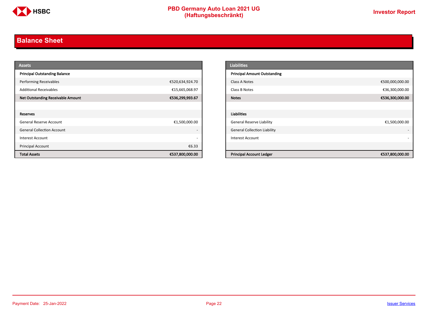

# <span id="page-21-0"></span>**Balance Sheet**

| <b>Assets</b>                            |                          | <b>Liabilities</b>                                 |
|------------------------------------------|--------------------------|----------------------------------------------------|
| <b>Principal Outstanding Balance</b>     |                          | <b>Principal Amount Outstanding</b>                |
| <b>Performing Receivables</b>            | €520,634,924.70          | €500,000,000.00<br>Class A Notes                   |
| <b>Additional Receivables</b>            | €15,665,068.97           | €36,300,000.00<br>Class B Notes                    |
| <b>Net Outstanding Receivable Amount</b> | €536,299,993.67          | €536,300,000.00<br><b>Notes</b>                    |
|                                          |                          |                                                    |
| Reserves                                 |                          | Liabilities                                        |
| <b>General Reserve Account</b>           | €1,500,000.00            | <b>General Reserve Liability</b><br>€1,500,000.00  |
| <b>General Collection Account</b>        |                          | <b>General Collection Liability</b>                |
| Interest Account                         | $\overline{\phantom{a}}$ | Interest Account                                   |
| <b>Principal Account</b>                 | €6.33                    |                                                    |
| <b>Total Assets</b>                      | €537,800,000.00          | <b>Principal Account Ledger</b><br>€537,800,000.00 |

| <b>Liabilities</b>                  |                 |
|-------------------------------------|-----------------|
| <b>Principal Amount Outstanding</b> |                 |
| Class A Notes                       | €500,000,000.00 |
| Class B Notes                       | €36,300,000.00  |
| <b>Notes</b>                        | €536,300,000.00 |
|                                     |                 |
| <b>Liabilities</b>                  |                 |
| General Reserve Liability           | €1,500,000.00   |
| <b>General Collection Liability</b> |                 |
| <b>Interest Account</b>             |                 |
|                                     |                 |
| <b>Principal Account Ledger</b>     | €537,800,000.00 |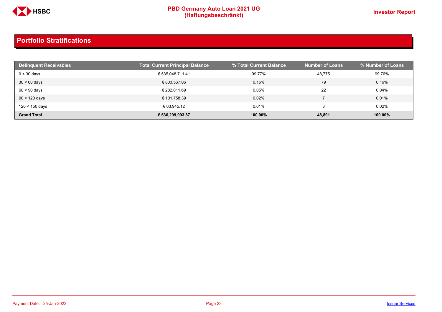

| <b>Delinquent Receivables</b> | <b>Total Current Principal Balance</b> | % Total Current Balance | <b>Number of Loans</b> | % Number of Loans |
|-------------------------------|----------------------------------------|-------------------------|------------------------|-------------------|
| $0 < 30$ days                 | € 535,048,711.41                       | 99.77%                  | 48,775                 | 99.76%            |
| $30 < 60$ days                | € 803,567.06                           | 0.15%                   | 79                     | 0.16%             |
| $60 < 90$ days                | € 282.011.69                           | 0.05%                   | 22                     | 0.04%             |
| $90 < 120$ days               | € 101,758.39                           | 0.02%                   |                        | 0.01%             |
| 120 < 150 days                | € 63.945.12                            | 0.01%                   | 8                      | 0.02%             |
| <b>Grand Total</b>            | € 536.299.993.67                       | 100.00%                 | 48,891                 | 100.00%           |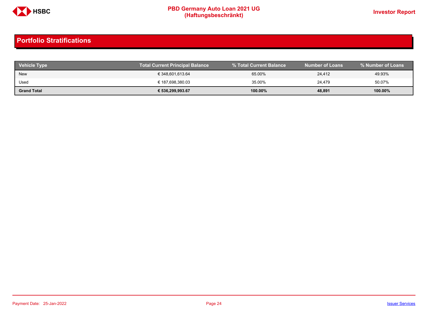

| <b>Vehicle Type</b> | <b>Total Current Principal Balance</b> | % Total Current Balance | <b>Number of Loans</b> | % Number of Loans |
|---------------------|----------------------------------------|-------------------------|------------------------|-------------------|
| New                 | € 348,601,613.64                       | 65.00%                  | 24,412                 | 49.93%            |
| Used                | € 187,698,380.03                       | 35.00%                  | 24.479                 | 50.07%            |
| <b>Grand Total</b>  | € 536,299,993.67                       | 100.00%                 | 48,891                 | 100.00%           |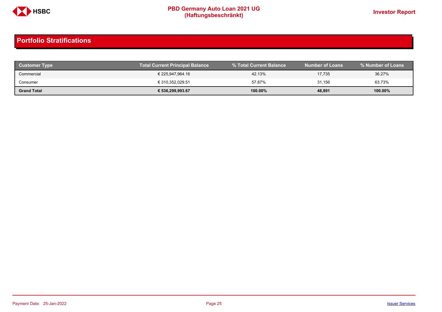

| <b>Customer Type</b> | <b>Total Current Principal Balance</b> |         | Number of Loans <b>\</b> | % Number of Loans |
|----------------------|----------------------------------------|---------|--------------------------|-------------------|
| Commercial           | € 225.947.964.16                       | 42.13%  | 17,735                   | 36.27%            |
| Consumer             | € 310.352.029.51                       | 57.87%  | 31,156                   | 63.73%            |
| <b>Grand Total</b>   | € 536,299,993.67                       | 100.00% | 48,891                   | 100.00%           |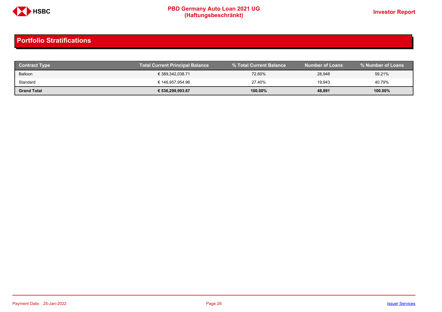

| <b>Contract Type</b> | <b>Total Current Principal Balance</b> |            | <b>Number of Loans</b> | % Number of Loans |
|----------------------|----------------------------------------|------------|------------------------|-------------------|
| Balloon              | € 389.342.038.71                       | 72.60%     | 28,948                 | 59.21%            |
| Standard             | € 146.957.954.96                       | 27.40%     | 19.943                 | 40.79%            |
| <b>Grand Total</b>   | € 536,299,993.67                       | $100.00\%$ | 48,891                 | 100.00%           |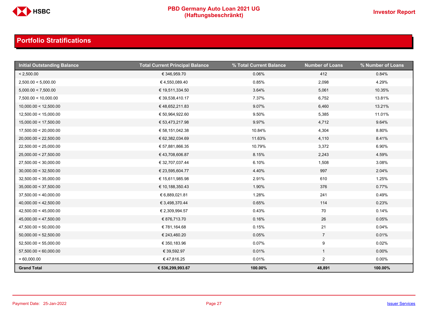

| <b>Initial Outstanding Balance</b> | <b>Total Current Principal Balance</b> | % Total Current Balance | <b>Number of Loans</b> | % Number of Loans |
|------------------------------------|----------------------------------------|-------------------------|------------------------|-------------------|
| < 2,500.00                         | € 346,959.70                           | 0.06%                   | 412                    | 0.84%             |
| 2,500.00 < 5,000.00                | €4,550,089.40                          | 0.85%                   | 2,098                  | 4.29%             |
| 5,000.00 < 7,500.00                | € 19,511,334.50                        | 3.64%                   | 5,061                  | 10.35%            |
| 7,500.00 < 10,000.00               | € 39,538,410.17                        | 7.37%                   | 6,752                  | 13.81%            |
| 10,000.00 < 12,500.00              | € 48,652,211.83                        | 9.07%                   | 6,460                  | 13.21%            |
| 12,500.00 < 15,000.00              | € 50,964,922.60                        | 9.50%                   | 5,385                  | 11.01%            |
| 15,000.00 < 17,500.00              | € 53,473,217.98                        | 9.97%                   | 4,712                  | 9.64%             |
| 17,500.00 < 20,000.00              | € 58,151,042.38                        | 10.84%                  | 4,304                  | 8.80%             |
| 20,000.00 < 22,500.00              | € 62,382,034.69                        | 11.63%                  | 4,110                  | 8.41%             |
| 22,500.00 < 25,000.00              | € 57,881,866.35                        | 10.79%                  | 3,372                  | 6.90%             |
| 25,000.00 < 27,500.00              | € 43,708,606.87                        | 8.15%                   | 2,243                  | 4.59%             |
| 27,500.00 < 30,000.00              | € 32,707,037.44                        | 6.10%                   | 1,508                  | 3.08%             |
| 30,000.00 < 32,500.00              | € 23,595,604.77                        | 4.40%                   | 997                    | 2.04%             |
| 32,500.00 < 35,000.00              | € 15,611,985.98                        | 2.91%                   | 610                    | 1.25%             |
| 35,000.00 < 37,500.00              | € 10,188,350.43                        | 1.90%                   | 376                    | 0.77%             |
| 37,500.00 < 40,000.00              | € 6,889,021.81                         | 1.28%                   | 241                    | 0.49%             |
| 40,000.00 < 42,500.00              | € 3,498,370.44                         | 0.65%                   | 114                    | 0.23%             |
| 42,500.00 < 45,000.00              | € 2,309,994.57                         | 0.43%                   | 70                     | 0.14%             |
| 45,000.00 < 47,500.00              | € 876,713.70                           | 0.16%                   | 26                     | 0.05%             |
| 47,500.00 < 50,000.00              | € 781,164.68                           | 0.15%                   | 21                     | 0.04%             |
| 50,000.00 < 52,500.00              | € 243,460.20                           | 0.05%                   | $\overline{7}$         | 0.01%             |
| 52,500.00 < 55,000.00              | € 350,183.96                           | 0.07%                   | 9                      | 0.02%             |
| 57,500.00 < 60,000.00              | € 39,592.97                            | 0.01%                   | $\mathbf{1}$           | $0.00\%$          |
| $= 60,000.00$                      | €47,816.25                             | 0.01%                   | $\overline{2}$         | $0.00\%$          |
| <b>Grand Total</b>                 | € 536,299,993.67                       | 100.00%                 | 48,891                 | 100.00%           |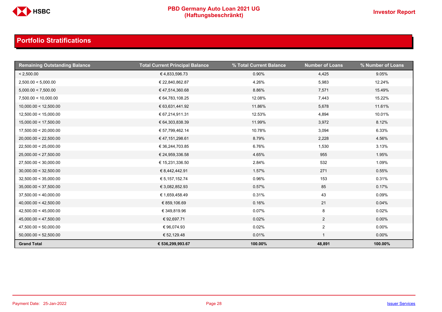

| <b>Remaining Outstanding Balance</b> | <b>Total Current Principal Balance</b> | % Total Current Balance | <b>Number of Loans</b> | % Number of Loans |
|--------------------------------------|----------------------------------------|-------------------------|------------------------|-------------------|
| < 2,500.00                           | €4,833,596.73                          | 0.90%                   | 4,425                  | 9.05%             |
| 2,500.00 < 5,000.00                  | € 22,840,862.87                        | 4.26%                   | 5,983                  | 12.24%            |
| 5,000.00 < 7,500.00                  | €47,514,360.68                         | 8.86%                   | 7,571                  | 15.49%            |
| 7,500.00 < 10,000.00                 | € 64,783,108.25                        | 12.08%                  | 7,443                  | 15.22%            |
| 10,000.00 < 12,500.00                | € 63,631,441.92                        | 11.86%                  | 5,678                  | 11.61%            |
| 12,500.00 < 15,000.00                | € 67,214,911.31                        | 12.53%                  | 4,894                  | 10.01%            |
| 15,000.00 < 17,500.00                | € 64,303,838.39                        | 11.99%                  | 3,972                  | 8.12%             |
| 17,500.00 < 20,000.00                | € 57,799,462.14                        | 10.78%                  | 3,094                  | 6.33%             |
| 20,000.00 < 22,500.00                | €47,151,298.61                         | 8.79%                   | 2,228                  | 4.56%             |
| 22,500.00 < 25,000.00                | € 36,244,703.85                        | 6.76%                   | 1,530                  | 3.13%             |
| 25,000.00 < 27,500.00                | € 24,959,336.58                        | 4.65%                   | 955                    | 1.95%             |
| 27,500.00 < 30,000.00                | € 15,231,336.50                        | 2.84%                   | 532                    | 1.09%             |
| 30,000.00 < 32,500.00                | € 8,442,442.91                         | 1.57%                   | 271                    | 0.55%             |
| 32,500.00 < 35,000.00                | € 5,157,152.74                         | 0.96%                   | 153                    | 0.31%             |
| 35,000.00 < 37,500.00                | € 3,082,852.93                         | 0.57%                   | 85                     | 0.17%             |
| 37,500.00 < 40,000.00                | € 1,659,458.49                         | 0.31%                   | 43                     | 0.09%             |
| 40,000.00 < 42,500.00                | € 859,106.69                           | 0.16%                   | 21                     | 0.04%             |
| 42,500.00 < 45,000.00                | € 349,819.96                           | 0.07%                   | 8                      | 0.02%             |
| 45,000.00 < 47,500.00                | € 92,697.71                            | 0.02%                   | $\overline{2}$         | $0.00\%$          |
| 47,500.00 < 50,000.00                | €96,074.93                             | 0.02%                   | $\overline{a}$         | $0.00\%$          |
| 50,000.00 < 52,500.00                | € 52,129.48                            | 0.01%                   | $\mathbf{1}$           | $0.00\%$          |
| <b>Grand Total</b>                   | € 536,299,993.67                       | 100.00%                 | 48,891                 | 100.00%           |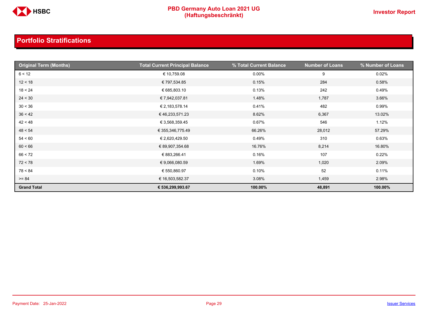

| <b>Original Term (Months)</b> | <b>Total Current Principal Balance</b> | % Total Current Balance | <b>Number of Loans</b> | % Number of Loans |
|-------------------------------|----------------------------------------|-------------------------|------------------------|-------------------|
| 6 < 12                        | € 10,759.08                            | $0.00\%$                | 9                      | 0.02%             |
| 12 < 18                       | € 797,534.85                           | 0.15%                   | 284                    | 0.58%             |
| 18 < 24                       | € 685,803.10                           | 0.13%                   | 242                    | 0.49%             |
| 24 < 30                       | € 7,942,037.81                         | 1.48%                   | 1,787                  | 3.66%             |
| 30 < 36                       | € 2,183,578.14                         | 0.41%                   | 482                    | 0.99%             |
| 36 < 42                       | € 46,233,571.23                        | 8.62%                   | 6,367                  | 13.02%            |
| 42 < 48                       | € 3,568,359.45                         | 0.67%                   | 546                    | 1.12%             |
| 48 < 54                       | € 355,346,775.49                       | 66.26%                  | 28,012                 | 57.29%            |
| 54 < 60                       | € 2,620,429.50                         | 0.49%                   | 310                    | 0.63%             |
| 60 < 66                       | € 89,907,354.68                        | 16.76%                  | 8,214                  | 16.80%            |
| 66 < 72                       | € 883,266.41                           | 0.16%                   | 107                    | 0.22%             |
| 72 < 78                       | € 9,066,080.59                         | 1.69%                   | 1,020                  | 2.09%             |
| 78 < 84                       | € 550,860.97                           | 0.10%                   | 52                     | 0.11%             |
| $>= 84$                       | € 16,503,582.37                        | 3.08%                   | 1,459                  | 2.98%             |
| <b>Grand Total</b>            | € 536,299,993.67                       | 100.00%                 | 48,891                 | 100.00%           |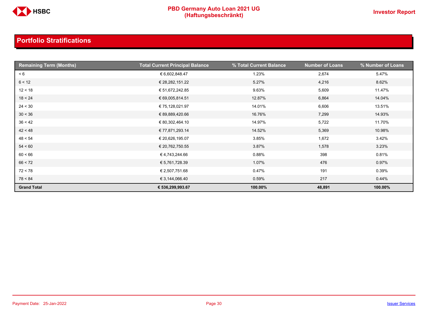

| <b>Remaining Term (Months)</b> | <b>Total Current Principal Balance</b> | % Total Current Balance | <b>Number of Loans</b> | % Number of Loans |
|--------------------------------|----------------------------------------|-------------------------|------------------------|-------------------|
| < 6                            | € 6,602,848.47                         | 1.23%                   | 2,674                  | 5.47%             |
| 6 < 12                         | € 28,282,151.22                        | 5.27%                   | 4,216                  | 8.62%             |
| 12 < 18                        | € 51,672,242.85                        | 9.63%                   | 5,609                  | 11.47%            |
| 18 < 24                        | € 69,005,814.51                        | 12.87%                  | 6,864                  | 14.04%            |
| 24 < 30                        | € 75,128,021.97                        | 14.01%                  | 6,606                  | 13.51%            |
| 30 < 36                        | € 89,889,420.66                        | 16.76%                  | 7,299                  | 14.93%            |
| 36 < 42                        | € 80,302,464.10                        | 14.97%                  | 5,722                  | 11.70%            |
| 42 < 48                        | € 77,871,293.14                        | 14.52%                  | 5,369                  | 10.98%            |
| 48 < 54                        | € 20,626,195.07                        | 3.85%                   | 1,672                  | 3.42%             |
| 54 < 60                        | € 20,762,750.55                        | 3.87%                   | 1,578                  | 3.23%             |
| 60 < 66                        | €4,743,244.66                          | 0.88%                   | 398                    | 0.81%             |
| 66 < 72                        | € 5,761,728.39                         | 1.07%                   | 476                    | 0.97%             |
| 72 < 78                        | € 2,507,751.68                         | 0.47%                   | 191                    | 0.39%             |
| 78 < 84                        | € 3,144,066.40                         | 0.59%                   | 217                    | 0.44%             |
| <b>Grand Total</b>             | € 536,299,993.67                       | 100.00%                 | 48,891                 | 100.00%           |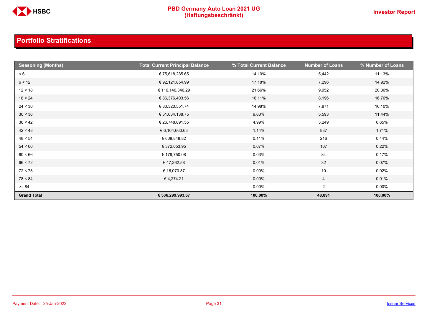

| <b>Seasoning (Months)</b> | <b>Total Current Principal Balance</b> | % Total Current Balance | <b>Number of Loans</b> | % Number of Loans |
|---------------------------|----------------------------------------|-------------------------|------------------------|-------------------|
| < 6                       | € 75,618,285.65                        | 14.10%                  | 5,442                  | 11.13%            |
| 6 < 12                    | € 92,121,854.99                        | 17.18%                  | 7,296                  | 14.92%            |
| 12 < 18                   | € 116,146,346.29                       | 21.66%                  | 9,952                  | 20.36%            |
| 18 < 24                   | € 86,376,403.56                        | 16.11%                  | 8,196                  | 16.76%            |
| 24 < 30                   | € 80,320,551.74                        | 14.98%                  | 7,871                  | 16.10%            |
| 30 < 36                   | € 51,634,138.75                        | 9.63%                   | 5,593                  | 11.44%            |
| 36 < 42                   | € 26,748,891.55                        | 4.99%                   | 3,249                  | 6.65%             |
| 42 < 48                   | € 6,104,660.63                         | 1.14%                   | 837                    | 1.71%             |
| 48 < 54                   | € 608,848.82                           | 0.11%                   | 216                    | 0.44%             |
| 54 < 60                   | € 372,653.95                           | 0.07%                   | 107                    | 0.22%             |
| 60 < 66                   | € 179,750.08                           | 0.03%                   | 84                     | 0.17%             |
| 66 < 72                   | €47,262.58                             | 0.01%                   | 32                     | 0.07%             |
| 72 < 78                   | € 16,070.87                            | $0.00\%$                | 10                     | 0.02%             |
| 78 < 84                   | €4,274.21                              | $0.00\%$                | 4                      | 0.01%             |
| $>= 84$                   | $\sim$                                 | $0.00\%$                | $\overline{2}$         | $0.00\%$          |
| <b>Grand Total</b>        | € 536,299,993.67                       | 100.00%                 | 48,891                 | 100.00%           |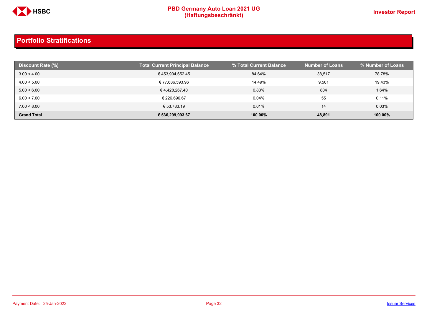

| Discount Rate (%)  | <b>Total Current Principal Balance</b> | % Total Current Balance | <b>Number of Loans</b> | % Number of Loans |
|--------------------|----------------------------------------|-------------------------|------------------------|-------------------|
| 3.00 < 4.00        | €453,904,652.45                        | 84.64%                  | 38,517                 | 78.78%            |
| 4.00 < 5.00        | € 77,686,593.96                        | 14.49%                  | 9,501                  | 19.43%            |
| 5.00 < 6.00        | € 4,428,267.40                         | 0.83%                   | 804                    | 1.64%             |
| 6.00 < 7.00        | € 226.696.67                           | 0.04%                   | 55                     | 0.11%             |
| 7.00 < 8.00        | € 53,783.19                            | 0.01%                   | 14                     | 0.03%             |
| <b>Grand Total</b> | € 536,299,993.67                       | 100.00%                 | 48,891                 | 100.00%           |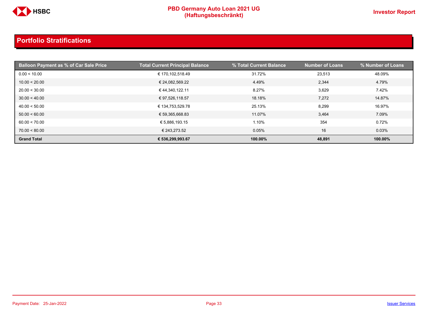

| <b>Balloon Payment as % of Car Sale Price</b> | <b>Total Current Principal Balance</b> | % Total Current Balance | <b>Number of Loans</b> | % Number of Loans |
|-----------------------------------------------|----------------------------------------|-------------------------|------------------------|-------------------|
| 0.00 < 10.00                                  | € 170,102,518.49                       | 31.72%                  | 23,513                 | 48.09%            |
| 10.00 < 20.00                                 | € 24,082,569.22                        | 4.49%                   | 2,344                  | 4.79%             |
| 20.00 < 30.00                                 | € 44,340,122.11                        | 8.27%                   | 3,629                  | 7.42%             |
| 30.00 < 40.00                                 | € 97,526,118.57                        | 18.18%                  | 7,272                  | 14.87%            |
| 40.00 < 50.00                                 | € 134,753,529.78                       | 25.13%                  | 8,299                  | 16.97%            |
| 50.00 < 60.00                                 | € 59,365,668.83                        | 11.07%                  | 3,464                  | 7.09%             |
| 60.00 < 70.00                                 | € 5,886,193.15                         | 1.10%                   | 354                    | 0.72%             |
| 70.00 < 80.00                                 | € 243,273.52                           | 0.05%                   | 16                     | 0.03%             |
| <b>Grand Total</b>                            | € 536,299,993.67                       | 100.00%                 | 48,891                 | 100.00%           |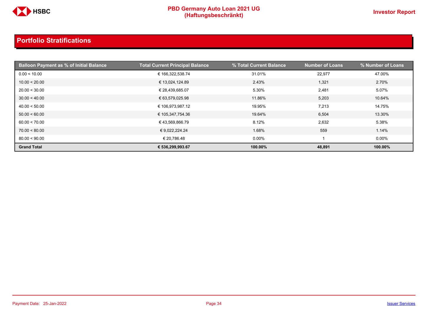

| <b>Balloon Payment as % of Initial Balance</b> | <b>Total Current Principal Balance</b> | % Total Current Balance | <b>Number of Loans</b> | % Number of Loans |
|------------------------------------------------|----------------------------------------|-------------------------|------------------------|-------------------|
| 0.00 < 10.00                                   | € 166,322,538.74                       | 31.01%                  | 22,977                 | 47.00%            |
| 10.00 < 20.00                                  | € 13,024,124.89                        | 2.43%                   | 1,321                  | 2.70%             |
| 20.00 < 30.00                                  | € 28,439,685.07                        | 5.30%                   | 2,481                  | 5.07%             |
| 30.00 < 40.00                                  | € 63,579,025.98                        | 11.86%                  | 5,203                  | 10.64%            |
| 40.00 < 50.00                                  | € 106,973,987.12                       | 19.95%                  | 7,213                  | 14.75%            |
| 50.00 < 60.00                                  | € 105,347,754.36                       | 19.64%                  | 6,504                  | 13.30%            |
| 60.00 < 70.00                                  | €43,569,866.79                         | 8.12%                   | 2,632                  | 5.38%             |
| 70.00 < 80.00                                  | € 9,022,224.24                         | 1.68%                   | 559                    | 1.14%             |
| 80.00 < 90.00                                  | € 20,786.48                            | $0.00\%$                |                        | $0.00\%$          |
| <b>Grand Total</b>                             | € 536,299,993.67                       | 100.00%                 | 48,891                 | 100.00%           |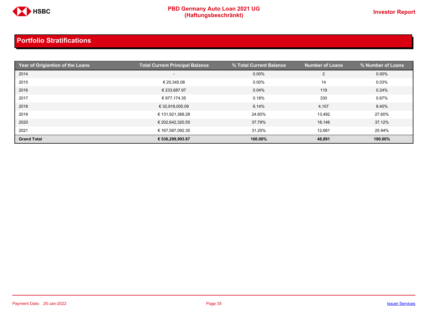

| Year of Origiantion of the Loans | <b>Total Current Principal Balance</b> | % Total Current Balance | <b>Number of Loans</b> | % Number of Loans |
|----------------------------------|----------------------------------------|-------------------------|------------------------|-------------------|
| 2014                             | $-$                                    | 0.00%                   | 2                      | $0.00\%$          |
| 2015                             | € 20,345.08                            | $0.00\%$                | 14                     | 0.03%             |
| 2016                             | € 233,687.97                           | 0.04%                   | 119                    | 0.24%             |
| 2017                             | € 977,174.35                           | 0.18%                   | 330                    | 0.67%             |
| 2018                             | € 32,918,005.09                        | 6.14%                   | 4,107                  | 8.40%             |
| 2019                             | € 131,921,368.28                       | 24.60%                  | 13,492                 | 27.60%            |
| 2020                             | € 202,642,320.55                       | 37.79%                  | 18,146                 | 37.12%            |
| 2021                             | € 167,587,092.35                       | 31.25%                  | 12,681                 | 25.94%            |
| <b>Grand Total</b>               | € 536,299,993.67                       | 100.00%                 | 48,891                 | 100.00%           |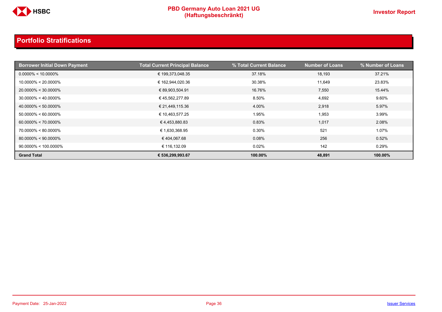

| <b>Borrower Initial Down Payment</b> | <b>Total Current Principal Balance</b> | % Total Current Balance | <b>Number of Loans</b> | % Number of Loans |
|--------------------------------------|----------------------------------------|-------------------------|------------------------|-------------------|
| $0.0000\% < 10.0000\%$               | € 199,373,048.35                       | 37.18%                  | 18,193                 | 37.21%            |
| $10.0000\% < 20.0000\%$              | € 162,944,020.36                       | 30.38%                  | 11,649                 | 23.83%            |
| $20.0000\% < 30.0000\%$              | € 89,903,504.91                        | 16.76%                  | 7,550                  | 15.44%            |
| $30.0000\% < 40.0000\%$              | € 45,562,277.89                        | 8.50%                   | 4,692                  | 9.60%             |
| $40.0000\% < 50.0000\%$              | € 21,449,115.36                        | 4.00%                   | 2,918                  | 5.97%             |
| $50.0000\% < 60.0000\%$              | € 10,463,577.25                        | 1.95%                   | 1,953                  | 3.99%             |
| $60.0000\% < 70.0000\%$              | €4,453,880.83                          | 0.83%                   | 1,017                  | 2.08%             |
| $70.0000\% < 80.0000\%$              | € 1,630,368.95                         | 0.30%                   | 521                    | 1.07%             |
| $80.0000\% < 90.0000\%$              | € 404,067.68                           | 0.08%                   | 256                    | 0.52%             |
| $90.0000\% < 100.0000\%$             | € 116,132.09                           | 0.02%                   | 142                    | 0.29%             |
| <b>Grand Total</b>                   | € 536,299,993.67                       | 100.00%                 | 48,891                 | 100.00%           |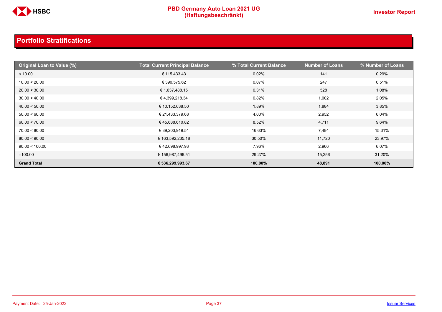

| Original Loan to Value (%) | <b>Total Current Principal Balance</b> | % Total Current Balance | <b>Number of Loans</b> | % Number of Loans |
|----------------------------|----------------------------------------|-------------------------|------------------------|-------------------|
| < 10.00                    | € 115,433.43                           | 0.02%                   | 141                    | 0.29%             |
| 10.00 < 20.00              | € 390,575.62                           | 0.07%                   | 247                    | 0.51%             |
| 20.00 < 30.00              | € 1,637,488.15                         | 0.31%                   | 528                    | 1.08%             |
| 30.00 < 40.00              | € 4,399,218.34                         | 0.82%                   | 1,002                  | 2.05%             |
| 40.00 < 50.00              | € 10,152,638.50                        | 1.89%                   | 1,884                  | 3.85%             |
| 50.00 < 60.00              | € 21,433,379.68                        | 4.00%                   | 2,952                  | 6.04%             |
| 60.00 < 70.00              | € 45,688,610.82                        | 8.52%                   | 4,711                  | 9.64%             |
| 70.00 < 80.00              | € 89,203,919.51                        | 16.63%                  | 7,484                  | 15.31%            |
| 80.00 < 90.00              | € 163,592,235.18                       | 30.50%                  | 11,720                 | 23.97%            |
| 90.00 < 100.00             | €42,698,997.93                         | 7.96%                   | 2,966                  | 6.07%             |
| $=100.00$                  | € 156,987,496.51                       | 29.27%                  | 15,256                 | 31.20%            |
| <b>Grand Total</b>         | € 536,299,993.67                       | 100.00%                 | 48,891                 | 100.00%           |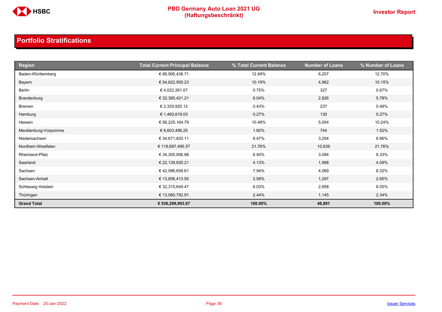

| <b>Region</b>        | <b>Total Current Principal Balance</b> | % Total Current Balance | <b>Number of Loans</b> | % Number of Loans |
|----------------------|----------------------------------------|-------------------------|------------------------|-------------------|
| Baden-Württemberg    | € 66,995,438.71                        | 12.49%                  | 6,207                  | 12.70%            |
| Bayern               | € 54,622,955.23                        | 10.19%                  | 4,962                  | 10.15%            |
| Berlin               | € 4,022,261.07                         | 0.75%                   | 327                    | 0.67%             |
| Brandenburg          | € 32,385,421.21                        | 6.04%                   | 2,826                  | 5.78%             |
| Bremen               | € 2,329,920.12                         | 0.43%                   | 237                    | 0.48%             |
| Hamburg              | € 1,460,619.03                         | 0.27%                   | 130                    | 0.27%             |
| Hessen               | € 56,225,164.79                        | 10.48%                  | 5,004                  | 10.24%            |
| Mecklenburg-Vorpomme | € 8,603,496.25                         | 1.60%                   | 744                    | 1.52%             |
| Niedersachsen        | € 34,671,820.11                        | 6.47%                   | 3,254                  | 6.66%             |
| Nordhein-Westfalen   | € 116,697,495.57                       | 21.76%                  | 10,639                 | 21.76%            |
| Rheinland-Pfalz      | € 34,305,956.88                        | 6.40%                   | 3,094                  | 6.33%             |
| Saarland             | € 22,139,930.21                        | 4.13%                   | 1,998                  | 4.09%             |
| Sachsen              | €42,586,658.61                         | 7.94%                   | 4,069                  | 8.32%             |
| Sachsen-Anhalt       | € 13,856,413.50                        | 2.58%                   | 1,297                  | 2.65%             |
| Schleswig Holstein   | € 32,315,649.47                        | 6.03%                   | 2,958                  | 6.05%             |
| Thüringen            | € 13,080,792.91                        | 2.44%                   | 1,145                  | 2.34%             |
| <b>Grand Total</b>   | € 536,299,993.67                       | 100.00%                 | 48,891                 | 100.00%           |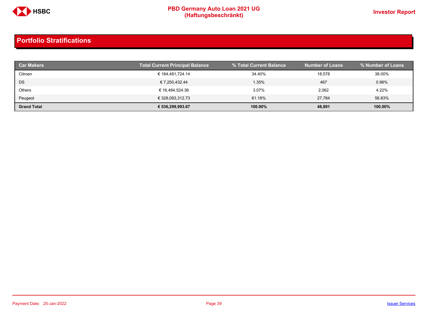

| <b>Car Makers</b>  | <b>Total Current Principal Balance</b> | % Total Current Balance | <b>Number of Loans</b> | % Number of Loans |
|--------------------|----------------------------------------|-------------------------|------------------------|-------------------|
| Citroen            | € 184.481.724.14                       | 34.40%                  | 18,578                 | 38.00%            |
| DS                 | € 7,250,432.44                         | 1.35%                   | 467                    | 0.96%             |
| Others             | € 16,484,524.36                        | 3.07%                   | 2,062                  | 4.22%             |
| Peugeot            | € 328,083,312.73                       | 61.18%                  | 27.784                 | 56.83%            |
| <b>Grand Total</b> | € 536,299,993.67                       | 100.00%                 | 48,891                 | 100.00%           |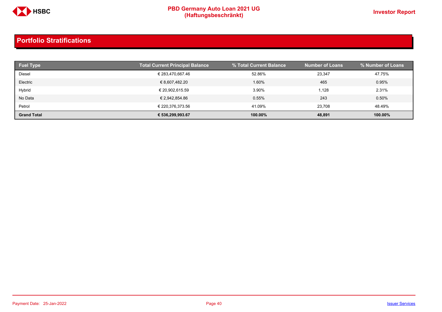

| <b>Fuel Type</b>   | <b>Total Current Principal Balance</b> | % Total Current Balance | <b>Number of Loans</b> | % Number of Loans |
|--------------------|----------------------------------------|-------------------------|------------------------|-------------------|
| Diesel             | € 283,470,667.46                       | 52.86%                  | 23.347                 | 47.75%            |
| Electric           | € 8,607,482.20                         | 1.60%                   | 465                    | 0.95%             |
| Hybrid             | € 20,902,615.59                        | 3.90%                   | 1,128                  | 2.31%             |
| No Data            | € 2,942,854.86                         | 0.55%                   | 243                    | 0.50%             |
| Petrol             | € 220.376.373.56                       | 41.09%                  | 23.708                 | 48.49%            |
| <b>Grand Total</b> | € 536,299,993.67                       | 100.00%                 | 48,891                 | 100.00%           |